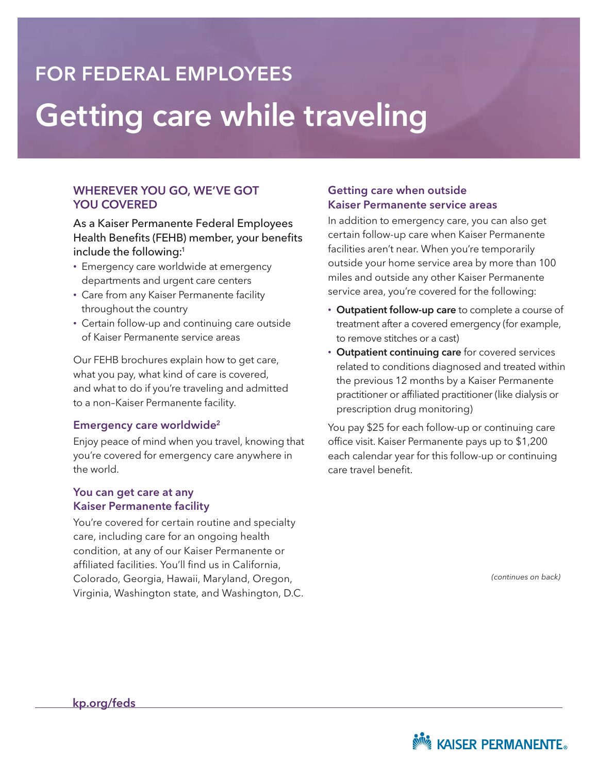# Getting care while traveling FOR FEDERAL EMPLOYEES

### WHEREVER YOU GO, WE'VE GOT YOU COVERED

As a Kaiser Permanente Federal Employees Health Benefits (FEHB) member, your benefits include the following:<sup>1</sup>

- Emergency care worldwide at emergency departments and urgent care centers
- Care from any Kaiser Permanente facility throughout the country
- Certain follow-up and continuing care outside of Kaiser Permanente service areas

Our FEHB brochures explain how to get care, what you pay, what kind of care is covered, and what to do if you're traveling and admitted to a non–Kaiser Permanente facility.

#### Emergency care worldwide2

Enjoy peace of mind when you travel, knowing that you're covered for emergency care anywhere in the world.

#### You can get care at any Kaiser Permanente facility

You're covered for certain routine and specialty care, including care for an ongoing health condition, at any of our Kaiser Permanente or affiliated facilities. You'll find us in California, Colorado, Georgia, Hawaii, Maryland, Oregon, Virginia, Washington state, and Washington, D.C.

#### Getting care when outside Kaiser Permanente service areas

In addition to emergency care, you can also get certain follow-up care when Kaiser Permanente facilities aren't near. When you're temporarily outside your home service area by more than 100 miles and outside any other Kaiser Permanente service area, you're covered for the following:

- Outpatient follow-up care to complete a course of treatment after a covered emergency (for example, to remove stitches or a cast)
- Outpatient continuing care for covered services related to conditions diagnosed and treated within the previous 12 months by a Kaiser Permanente practitioner or affiliated practitioner (like dialysis or prescription drug monitoring)

You pay \$25 for each follow-up or continuing care office visit. Kaiser Permanente pays up to \$1,200 each calendar year for this follow-up or continuing care travel benefit.

*(continues on back)*